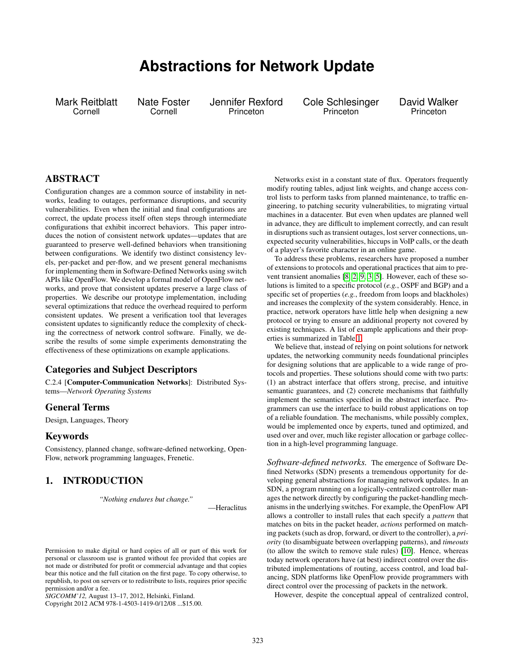# **Abstractions for Network Update**

Mark Reitblatt Cornell

Nate Foster Cornell

Jennifer Rexford Princeton

Cole Schlesinger Princeton

David Walker Princeton

# ABSTRACT

Configuration changes are a common source of instability in networks, leading to outages, performance disruptions, and security vulnerabilities. Even when the initial and final configurations are correct, the update process itself often steps through intermediate configurations that exhibit incorrect behaviors. This paper introduces the notion of consistent network updates—updates that are guaranteed to preserve well-defined behaviors when transitioning between configurations. We identify two distinct consistency levels, per-packet and per-flow, and we present general mechanisms for implementing them in Software-Defined Networks using switch APIs like OpenFlow. We develop a formal model of OpenFlow networks, and prove that consistent updates preserve a large class of properties. We describe our prototype implementation, including several optimizations that reduce the overhead required to perform consistent updates. We present a verification tool that leverages consistent updates to significantly reduce the complexity of checking the correctness of network control software. Finally, we describe the results of some simple experiments demonstrating the effectiveness of these optimizations on example applications.

## Categories and Subject Descriptors

C.2.4 [Computer-Communication Networks]: Distributed Systems—*Network Operating Systems*

## General Terms

Design, Languages, Theory

#### Keywords

Consistency, planned change, software-defined networking, Open-Flow, network programming languages, Frenetic.

# 1. INTRODUCTION

*"Nothing endures but change."*

—Heraclitus

Permission to make digital or hard copies of all or part of this work for personal or classroom use is granted without fee provided that copies are not made or distributed for profit or commercial advantage and that copies bear this notice and the full citation on the first page. To copy otherwise, to republish, to post on servers or to redistribute to lists, requires prior specific permission and/or a fee.

Copyright 2012 ACM 978-1-4503-1419-0/12/08 ...\$15.00.

Networks exist in a constant state of flux. Operators frequently modify routing tables, adjust link weights, and change access control lists to perform tasks from planned maintenance, to traffic engineering, to patching security vulnerabilities, to migrating virtual machines in a datacenter. But even when updates are planned well in advance, they are difficult to implement correctly, and can result in disruptions such as transient outages, lost server connections, unexpected security vulnerabilities, hiccups in VoIP calls, or the death of a player's favorite character in an online game.

To address these problems, researchers have proposed a number of extensions to protocols and operational practices that aim to prevent transient anomalies [\[8,](#page-11-0) [2,](#page-11-1) [9,](#page-11-2) [3,](#page-11-3) [5\]](#page-11-4). However, each of these solutions is limited to a specific protocol (*e.g.*, OSPF and BGP) and a specific set of properties (*e.g.*, freedom from loops and blackholes) and increases the complexity of the system considerably. Hence, in practice, network operators have little help when designing a new protocol or trying to ensure an additional property not covered by existing techniques. A list of example applications and their properties is summarized in Table [1.](#page-1-0)

We believe that, instead of relying on point solutions for network updates, the networking community needs foundational principles for designing solutions that are applicable to a wide range of protocols and properties. These solutions should come with two parts: (1) an abstract interface that offers strong, precise, and intuitive semantic guarantees, and (2) concrete mechanisms that faithfully implement the semantics specified in the abstract interface. Programmers can use the interface to build robust applications on top of a reliable foundation. The mechanisms, while possibly complex, would be implemented once by experts, tuned and optimized, and used over and over, much like register allocation or garbage collection in a high-level programming language.

*Software-defined networks.* The emergence of Software Defined Networks (SDN) presents a tremendous opportunity for developing general abstractions for managing network updates. In an SDN, a program running on a logically-centralized controller manages the network directly by configuring the packet-handling mechanisms in the underlying switches. For example, the OpenFlow API allows a controller to install rules that each specify a *pattern* that matches on bits in the packet header, *actions* performed on matching packets (such as drop, forward, or divert to the controller), a *priority* (to disambiguate between overlapping patterns), and *timeouts* (to allow the switch to remove stale rules) [\[10\]](#page-11-5). Hence, whereas today network operators have (at best) indirect control over the distributed implementations of routing, access control, and load balancing, SDN platforms like OpenFlow provide programmers with direct control over the processing of packets in the network.

However, despite the conceptual appeal of centralized control,

*SIGCOMM'12,* August 13–17, 2012, Helsinki, Finland.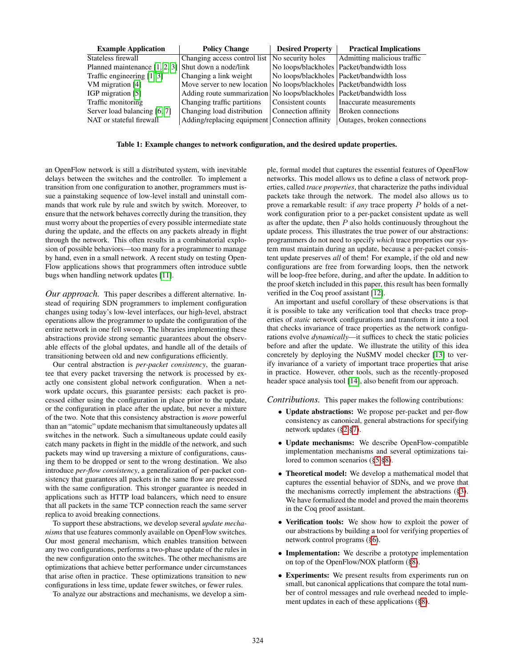| <b>Example Application</b>    | <b>Policy Change</b>                                                      | <b>Desired Property</b> | <b>Practical Implications</b>               |  |
|-------------------------------|---------------------------------------------------------------------------|-------------------------|---------------------------------------------|--|
| Stateless firewall            | Changing access control list No security holes                            |                         | Admitting malicious traffic                 |  |
| Planned maintenance [1, 2, 3] | Shut down a node/link                                                     |                         | No loops/blackholes   Packet/bandwidth loss |  |
| Traffic engineering [1, 3]    | Changing a link weight                                                    |                         | No loops/blackholes   Packet/bandwidth loss |  |
| VM migration [4]              | Move server to new location   No loops/blackholes   Packet/bandwidth loss |                         |                                             |  |
| IGP migration [5]             | Adding route summarization   No loops/blackholes   Packet/bandwidth loss  |                         |                                             |  |
| Traffic monitoring            | Changing traffic partitions                                               | Consistent counts       | Inaccurate measurements                     |  |
| Server load balancing [6, 7]  | Changing load distribution                                                | Connection affinity     | <b>Broken</b> connections                   |  |
| NAT or stateful firewall      | Adding/replacing equipment Connection affinity                            |                         | Outages, broken connections                 |  |

<span id="page-1-0"></span>Table 1: Example changes to network configuration, and the desired update properties.

an OpenFlow network is still a distributed system, with inevitable delays between the switches and the controller. To implement a transition from one configuration to another, programmers must issue a painstaking sequence of low-level install and uninstall commands that work rule by rule and switch by switch. Moreover, to ensure that the network behaves correctly during the transition, they must worry about the properties of every possible intermediate state during the update, and the effects on any packets already in flight through the network. This often results in a combinatorial explosion of possible behaviors—too many for a programmer to manage by hand, even in a small network. A recent study on testing Open-Flow applications shows that programmers often introduce subtle bugs when handling network updates [\[11\]](#page-11-10).

*Our approach.* This paper describes a different alternative. Instead of requiring SDN programmers to implement configuration changes using today's low-level interfaces, our high-level, abstract operations allow the programmer to update the configuration of the entire network in one fell swoop. The libraries implementing these abstractions provide strong semantic guarantees about the observable effects of the global updates, and handle all of the details of transitioning between old and new configurations efficiently.

Our central abstraction is *per-packet consistency*, the guarantee that every packet traversing the network is processed by exactly one consistent global network configuration. When a network update occurs, this guarantee persists: each packet is processed either using the configuration in place prior to the update, or the configuration in place after the update, but never a mixture of the two. Note that this consistency abstraction is *more* powerful than an "atomic" update mechanism that simultaneously updates all switches in the network. Such a simultaneous update could easily catch many packets in flight in the middle of the network, and such packets may wind up traversing a mixture of configurations, causing them to be dropped or sent to the wrong destination. We also introduce *per-flow consistency*, a generalization of per-packet consistency that guarantees all packets in the same flow are processed with the same configuration. This stronger guarantee is needed in applications such as HTTP load balancers, which need to ensure that all packets in the same TCP connection reach the same server replica to avoid breaking connections.

To support these abstractions, we develop several *update mechanisms* that use features commonly available on OpenFlow switches. Our most general mechanism, which enables transition between any two configurations, performs a two-phase update of the rules in the new configuration onto the switches. The other mechanisms are optimizations that achieve better performance under circumstances that arise often in practice. These optimizations transition to new configurations in less time, update fewer switches, or fewer rules.

To analyze our abstractions and mechanisms, we develop a sim-

ple, formal model that captures the essential features of OpenFlow networks. This model allows us to define a class of network properties, called *trace properties*, that characterize the paths individual packets take through the network. The model also allows us to prove a remarkable result: if *any* trace property P holds of a network configuration prior to a per-packet consistent update as well as after the update, then  $P$  also holds continuously throughout the update process. This illustrates the true power of our abstractions: programmers do not need to specify *which* trace properties our system must maintain during an update, because a per-packet consistent update preserves *all* of them! For example, if the old and new configurations are free from forwarding loops, then the network will be loop-free before, during, and after the update. In addition to the proof sketch included in this paper, this result has been formally verified in the Coq proof assistant [\[12\]](#page-11-11).

An important and useful corollary of these observations is that it is possible to take any verification tool that checks trace properties of *static* network configurations and transform it into a tool that checks invariance of trace properties as the network configurations evolve *dynamically*—it suffices to check the static policies before and after the update. We illustrate the utility of this idea concretely by deploying the NuSMV model checker [\[13\]](#page-11-12) to verify invariance of a variety of important trace properties that arise in practice. However, other tools, such as the recently-proposed header space analysis tool [\[14\]](#page-11-13), also benefit from our approach.

*Contributions.* This paper makes the following contributions:

- Update abstractions: We propose per-packet and per-flow consistency as canonical, general abstractions for specifying network updates ([§2,](#page-2-0)[§7\)](#page-8-0).
- Update mechanisms: We describe OpenFlow-compatible implementation mechanisms and several optimizations tailored to common scenarios ([§5,](#page-5-0)[§8\)](#page-9-0).
- Theoretical model: We develop a mathematical model that captures the essential behavior of SDNs, and we prove that the mechanisms correctly implement the abstractions ([§3\)](#page-2-1). We have formalized the model and proved the main theorems in the Coq proof assistant.
- Verification tools: We show how to exploit the power of our abstractions by building a tool for verifying properties of network control programs ([§6\)](#page-7-0).
- Implementation: We describe a prototype implementation on top of the OpenFlow/NOX platform ([§8\)](#page-9-0).
- Experiments: We present results from experiments run on small, but canonical applications that compare the total number of control messages and rule overhead needed to implement updates in each of these applications ([§8\)](#page-9-0).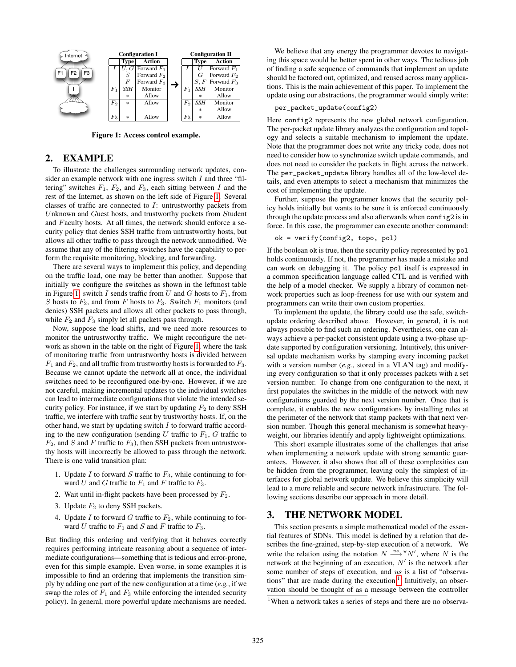

<span id="page-2-2"></span>Figure 1: Access control example.

# <span id="page-2-0"></span>2. EXAMPLE

To illustrate the challenges surrounding network updates, consider an example network with one ingress switch  $I$  and three "filtering" switches  $F_1$ ,  $F_2$ , and  $F_3$ , each sitting between I and the rest of the Internet, as shown on the left side of Figure [1.](#page-2-2) Several classes of traffic are connected to  $I$ : untrustworthy packets from Unknown and Guest hosts, and trustworthy packets from Student and Faculty hosts. At all times, the network should enforce a security policy that denies SSH traffic from untrustworthy hosts, but allows all other traffic to pass through the network unmodified. We assume that any of the filtering switches have the capability to perform the requisite monitoring, blocking, and forwarding.

There are several ways to implement this policy, and depending on the traffic load, one may be better than another. Suppose that initially we configure the switches as shown in the leftmost table in Figure [1:](#page-2-2) switch I sends traffic from U and G hosts to  $F_1$ , from S hosts to  $F_2$ , and from F hosts to  $F_3$ . Switch  $F_1$  monitors (and denies) SSH packets and allows all other packets to pass through, while  $F_2$  and  $F_3$  simply let all packets pass through.

Now, suppose the load shifts, and we need more resources to monitor the untrustworthy traffic. We might reconfigure the network as shown in the table on the right of Figure [1,](#page-2-2) where the task of monitoring traffic from untrustworthy hosts is divided between  $F_1$  and  $F_2$ , and all traffic from trustworthy hosts is forwarded to  $F_3$ . Because we cannot update the network all at once, the individual switches need to be reconfigured one-by-one. However, if we are not careful, making incremental updates to the individual switches can lead to intermediate configurations that violate the intended security policy. For instance, if we start by updating  $F_2$  to deny SSH traffic, we interfere with traffic sent by trustworthy hosts. If, on the other hand, we start by updating switch  $I$  to forward traffic according to the new configuration (sending  $U$  traffic to  $F_1$ ,  $G$  traffic to  $F_2$ , and S and F traffic to  $F_3$ ), then SSH packets from untrustworthy hosts will incorrectly be allowed to pass through the network. There is one valid transition plan:

- 1. Update  $I$  to forward  $S$  traffic to  $F_3$ , while continuing to forward U and G traffic to  $F_1$  and F traffic to  $F_3$ .
- 2. Wait until in-flight packets have been processed by  $F_2$ .
- 3. Update  $F_2$  to deny SSH packets.
- 4. Update I to forward G traffic to  $F_2$ , while continuing to forward U traffic to  $F_1$  and S and F traffic to  $F_3$ .

But finding this ordering and verifying that it behaves correctly requires performing intricate reasoning about a sequence of intermediate configurations—something that is tedious and error-prone, even for this simple example. Even worse, in some examples it is impossible to find an ordering that implements the transition simply by adding one part of the new configuration at a time (*e.g.*, if we swap the roles of  $F_1$  and  $F_3$  while enforcing the intended security policy). In general, more powerful update mechanisms are needed.

We believe that any energy the programmer devotes to navigating this space would be better spent in other ways. The tedious job of finding a safe sequence of commands that implement an update should be factored out, optimized, and reused across many applications. This is the main achievement of this paper. To implement the update using our abstractions, the programmer would simply write:

#### per\_packet\_update(config2)

Here config2 represents the new global network configuration. The per-packet update library analyzes the configuration and topology and selects a suitable mechanism to implement the update. Note that the programmer does not write any tricky code, does not need to consider how to synchronize switch update commands, and does not need to consider the packets in flight across the network. The per\_packet\_update library handles all of the low-level details, and even attempts to select a mechanism that minimizes the cost of implementing the update.

Further, suppose the programmer knows that the security policy holds initially but wants to be sure it is enforced continuously through the update process and also afterwards when config2 is in force. In this case, the programmer can execute another command:

#### ok = verify(config2, topo, pol)

If the boolean ok is true, then the security policy represented by pol holds continuously. If not, the programmer has made a mistake and can work on debugging it. The policy pol itself is expressed in a common specification language called CTL and is verified with the help of a model checker. We supply a library of common network properties such as loop-freeness for use with our system and programmers can write their own custom properties.

To implement the update, the library could use the safe, switchupdate ordering described above. However, in general, it is not always possible to find such an ordering. Nevertheless, one can always achieve a per-packet consistent update using a two-phase update supported by configuration versioning. Intuitively, this universal update mechanism works by stamping every incoming packet with a version number (*e.g.*, stored in a VLAN tag) and modifying every configuration so that it only processes packets with a set version number. To change from one configuration to the next, it first populates the switches in the middle of the network with new configurations guarded by the next version number. Once that is complete, it enables the new configurations by installing rules at the perimeter of the network that stamp packets with that next version number. Though this general mechanism is somewhat heavyweight, our libraries identify and apply lightweight optimizations.

This short example illustrates some of the challenges that arise when implementing a network update with strong semantic guarantees. However, it also shows that all of these complexities can be hidden from the programmer, leaving only the simplest of interfaces for global network update. We believe this simplicity will lead to a more reliable and secure network infrastructure. The following sections describe our approach in more detail.

#### <span id="page-2-1"></span>3. THE NETWORK MODEL

This section presents a simple mathematical model of the essential features of SDNs. This model is defined by a relation that describes the fine-grained, step-by-step execution of a network. We write the relation using the notation  $N \stackrel{us}{\longrightarrow} N'$ , where N is the network at the beginning of an execution,  $N'$  is the network after some number of steps of execution, and us is a list of "observa-tions" that are made during the execution.<sup>[1](#page-2-3)</sup> Intuitively, an observation should be thought of as a message between the controller

<span id="page-2-3"></span><sup>&</sup>lt;sup>1</sup>When a network takes a series of steps and there are no observa-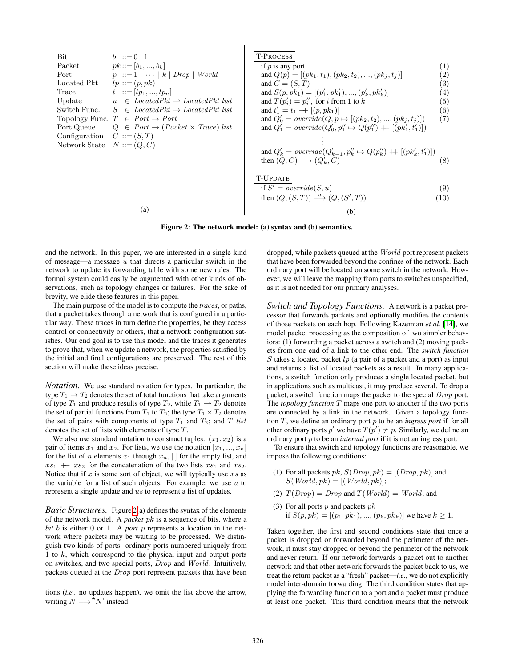| Bit                                                                                                                                    | b ::= 0   1                                         |                                                                         |     |
|----------------------------------------------------------------------------------------------------------------------------------------|-----------------------------------------------------|-------------------------------------------------------------------------|-----|
| Packet                                                                                                                                 | $pk ::= [b_1, ..., b_k]$                            | if $p$ is any port                                                      | (1) |
| Port                                                                                                                                   | $p ::= 1   \cdots   k   Drop   World$               | and $Q(p) = [(pk_1, t_1), (pk_2, t_2), ..., (pk_j, t_j)]$               | (2) |
| located Pkt                                                                                                                            | $lp ::= (p, pk)$                                    | and $G = (S, T)$                                                        | (3) |
| Trade                                                                                                                                  | $t ::= [lp_1, ..., lp_n]$                           | and $S(p, pk_1) = [(p'_1, pk'_1), ..., (p'_k, pk'_k)]$                  | (4) |
| Update                                                                                                                                 | $u \in LocatedPkt \rightarrow LocatedPkt list$      | and $T(p'_i) = p''_i$ , for $i$ from 1 to $k$                           | (5) |
| Switch Func. $S \in LocatedPkt \rightarrow LocatedPkt list$                                                                            | and $q'_1 = 1 + [(p_i, pk_1), ..., (p'_k, pk_k)]$   | (6)                                                                     |     |
| Topology Func. $T \in Port \rightarrow (Part \rightarrow Vect$ and $Q'_0 = override(Q, p \rightarrow [(pk_2, t_2), ..., (pk_j, t_j)])$ | (7)                                                 |                                                                         |     |
| Port Queue                                                                                                                             | $Q \in Port \rightarrow (Packet \times Trace)$ list | and $Q'_1 = override(Q, p''_1 \rightarrow Q(p''_1) + [(pk'_k, t'_1)])$  | (8) |
| Contiguration                                                                                                                          | $C ::= (S, T)$                                      | and $Q'_k = override(Q', p''_k \rightarrow Q(p''_k) + [(pk'_k, t'_1)])$ | (8) |
| Intenvark State                                                                                                                        | $N ::= (Q, C)$                                      | and $Q'_k = override(S, u)$                                             | (9) |

 $\overline{\phantom{a}}$ 

<span id="page-3-0"></span>Figure 2: The network model: (a) syntax and (b) semantics.

and the network. In this paper, we are interested in a single kind of message—a message  $u$  that directs a particular switch in the network to update its forwarding table with some new rules. The formal system could easily be augmented with other kinds of observations, such as topology changes or failures. For the sake of brevity, we elide these features in this paper.

The main purpose of the model is to compute the *traces*, or paths, that a packet takes through a network that is configured in a particular way. These traces in turn define the properties, be they access control or connectivity or others, that a network configuration satisfies. Our end goal is to use this model and the traces it generates to prove that, when we update a network, the properties satisfied by the initial and final configurations are preserved. The rest of this section will make these ideas precise.

*Notation.* We use standard notation for types. In particular, the type  $T_1 \rightarrow T_2$  denotes the set of total functions that take arguments of type  $T_1$  and produce results of type  $T_2$ , while  $T_1 \rightharpoonup T_2$  denotes the set of partial functions from  $T_1$  to  $T_2$ ; the type  $T_1 \times T_2$  denotes the set of pairs with components of type  $T_1$  and  $T_2$ ; and  $T$  list denotes the set of lists with elements of type T.

We also use standard notation to construct tuples:  $(x_1, x_2)$  is a pair of items  $x_1$  and  $x_2$ . For lists, we use the notation  $[x_1, ..., x_n]$ for the list of n elements  $x_1$  through  $x_n$ ,  $\left[ \right]$  for the empty list, and  $xs_1 + xs_2$  for the concatenation of the two lists  $xs_1$  and  $xs_2$ . Notice that if  $x$  is some sort of object, we will typically use  $xs$  as the variable for a list of such objects. For example, we use  $u$  to represent a single update and us to represent a list of updates.

*Basic Structures.* Figure [2\(](#page-3-0)a) defines the syntax of the elements of the network model. A *packet* pk is a sequence of bits, where a *bit* b is either 0 or 1. A *port* p represents a location in the network where packets may be waiting to be processed. We distinguish two kinds of ports: ordinary ports numbered uniquely from 1 to  $k$ , which correspond to the physical input and output ports on switches, and two special ports, Drop and World. Intuitively, packets queued at the Drop port represent packets that have been dropped, while packets queued at the World port represent packets that have been forwarded beyond the confines of the network. Each ordinary port will be located on some switch in the network. However, we will leave the mapping from ports to switches unspecified, as it is not needed for our primary analyses.

*Switch and Topology Functions.* A network is a packet processor that forwards packets and optionally modifies the contents of those packets on each hop. Following Kazemian *et al.* [\[14\]](#page-11-13), we model packet processing as the composition of two simpler behaviors: (1) forwarding a packet across a switch and (2) moving packets from one end of a link to the other end. The *switch function*  $S$  takes a located packet  $lp$  (a pair of a packet and a port) as input and returns a list of located packets as a result. In many applications, a switch function only produces a single located packet, but in applications such as multicast, it may produce several. To drop a packet, a switch function maps the packet to the special Drop port. The *topology function* T maps one port to another if the two ports are connected by a link in the network. Given a topology function T, we define an ordinary port p to be an *ingress port* if for all other ordinary ports p' we have  $T(p') \neq p$ . Similarly, we define an ordinary port p to be an *internal port* if it is not an ingress port.

To ensure that switch and topology functions are reasonable, we impose the following conditions:

- (1) For all packets  $pk$ ,  $S(Drop, pk) = [(Drop, pk)]$  and  $S(World, pk) = [(World, pk)];$
- (2)  $T(Drop) = Drop$  and  $T(World) = World$ ; and
- (3) For all ports  $p$  and packets  $pk$ if  $S(p, pk) = [(p_1, pk_1), ..., (p_k, pk_k)]$  we have  $k \ge 1$ .

Taken together, the first and second conditions state that once a packet is dropped or forwarded beyond the perimeter of the network, it must stay dropped or beyond the perimeter of the network and never return. If our network forwards a packet out to another network and that other network forwards the packet back to us, we treat the return packet as a "fresh" packet—*i.e.*, we do not explicitly model inter-domain forwarding. The third condition states that applying the forwarding function to a port and a packet must produce at least one packet. This third condition means that the network

tions (*i.e.,* no updates happen), we omit the list above the arrow, writing  $N \longrightarrow^* N'$  instead.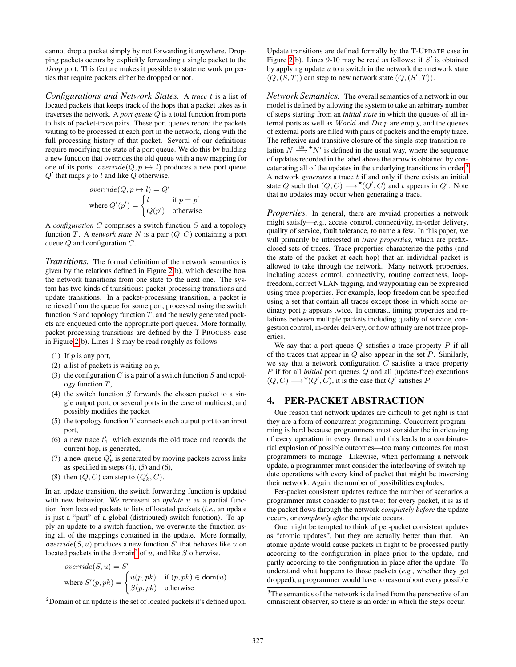cannot drop a packet simply by not forwarding it anywhere. Dropping packets occurs by explicitly forwarding a single packet to the Drop port. This feature makes it possible to state network properties that require packets either be dropped or not.

*Configurations and Network States.* A *trace* t is a list of located packets that keeps track of the hops that a packet takes as it traverses the network. A *port queue* Q is a total function from ports to lists of packet-trace pairs. These port queues record the packets waiting to be processed at each port in the network, along with the full processing history of that packet. Several of our definitions require modifying the state of a port queue. We do this by building a new function that overrides the old queue with a new mapping for one of its ports:  $override(Q, p \mapsto l)$  produces a new port queue  $Q'$  that maps  $p$  to  $l$  and like  $Q$  otherwise.

$$
override(Q, p \mapsto l) = Q'
$$
  
where  $Q'(p') = \begin{cases} l & \text{if } p = p' \\ Q(p') & \text{otherwise} \end{cases}$ 

A *configuration* C comprises a switch function S and a topology function T. A *network state* N is a pair (Q, C) containing a port queue  $Q$  and configuration  $C$ .

*Transitions.* The formal definition of the network semantics is given by the relations defined in Figure [2\(](#page-3-0)b), which describe how the network transitions from one state to the next one. The system has two kinds of transitions: packet-processing transitions and update transitions. In a packet-processing transition, a packet is retrieved from the queue for some port, processed using the switch function  $S$  and topology function  $T$ , and the newly generated packets are enqueued onto the appropriate port queues. More formally, packet-processing transitions are defined by the T-PROCESS case in Figure [2\(](#page-3-0)b). Lines 1-8 may be read roughly as follows:

- (1) If  $p$  is any port,
- (2) a list of packets is waiting on  $p$ ,
- (3) the configuration  $C$  is a pair of a switch function  $S$  and topology function T,
- (4) the switch function  $S$  forwards the chosen packet to a single output port, or several ports in the case of multicast, and possibly modifies the packet
- (5) the topology function  $T$  connects each output port to an input port,
- (6) a new trace  $t'_1$ , which extends the old trace and records the current hop, is generated,
- (7) a new queue  $Q'_k$  is generated by moving packets across links as specified in steps  $(4)$ ,  $(5)$  and  $(6)$ ,
- (8) then  $(Q, C)$  can step to  $(Q'_k, C)$ .

In an update transition, the switch forwarding function is updated with new behavior. We represent an *update* u as a partial function from located packets to lists of located packets (*i.e.*, an update is just a "part" of a global (distributed) switch function). To apply an update to a switch function, we overwrite the function using all of the mappings contained in the update. More formally, *override*(S, u) produces a new function  $S'$  that behaves like u on located packets in the domain<sup>[2](#page-4-0)</sup> of  $u$ , and like  $S$  otherwise.

$$
override(S, u) = S'
$$
  
where 
$$
S'(p, pk) = \begin{cases} u(p, pk) & \text{if } (p, pk) \in \text{dom}(u) \\ S(p, pk) & \text{otherwise} \end{cases}
$$

Update transitions are defined formally by the T-UPDATE case in Figure [2\(](#page-3-0)b). Lines 9-10 may be read as follows: if  $S'$  is obtained by applying update  $u$  to a switch in the network then network state  $(Q, (S, T))$  can step to new network state  $(Q, (S', T))$ .

*Network Semantics.* The overall semantics of a network in our model is defined by allowing the system to take an arbitrary number of steps starting from an *initial state* in which the queues of all internal ports as well as World and Drop are empty, and the queues of external ports are filled with pairs of packets and the empty trace. The reflexive and transitive closure of the single-step transition relation  $N \stackrel{us}{\longrightarrow} \stackrel{\star}{N'}$  is defined in the usual way, where the sequence of updates recorded in the label above the arrow is obtained by con-catenating all of the updates in the underlying transitions in order.<sup>[3](#page-4-1)</sup> A network *generates* a trace t if and only if there exists an initial state Q such that  $(Q, C) \longrightarrow^{\star}(Q', C)$  and t appears in Q'. Note that no updates may occur when generating a trace.

*Properties.* In general, there are myriad properties a network might satisfy—*e.g.*, access control, connectivity, in-order delivery, quality of service, fault tolerance, to name a few. In this paper, we will primarily be interested in *trace properties*, which are prefixclosed sets of traces. Trace properties characterize the paths (and the state of the packet at each hop) that an individual packet is allowed to take through the network. Many network properties, including access control, connectivity, routing correctness, loopfreedom, correct VLAN tagging, and waypointing can be expressed using trace properties. For example, loop-freedom can be specified using a set that contain all traces except those in which some ordinary port  $p$  appears twice. In contrast, timing properties and relations between multiple packets including quality of service, congestion control, in-order delivery, or flow affinity are not trace properties.

We say that a port queue  $Q$  satisfies a trace property  $P$  if all of the traces that appear in  $Q$  also appear in the set  $P$ . Similarly, we say that a network configuration  $C$  satisfies a trace property P if for all *initial* port queues Q and all (update-free) executions  $(Q, C) \longrightarrow^{\star}(Q', C)$ , it is the case that  $Q'$  satisfies P.

## 4. PER-PACKET ABSTRACTION

One reason that network updates are difficult to get right is that they are a form of concurrent programming. Concurrent programming is hard because programmers must consider the interleaving of every operation in every thread and this leads to a combinatorial explosion of possible outcomes—too many outcomes for most programmers to manage. Likewise, when performing a network update, a programmer must consider the interleaving of switch update operations with every kind of packet that might be traversing their network. Again, the number of possibilities explodes.

Per-packet consistent updates reduce the number of scenarios a programmer must consider to just two: for every packet, it is as if the packet flows through the network *completely before* the update occurs, or *completely after* the update occurs.

One might be tempted to think of per-packet consistent updates as "atomic updates", but they are actually better than that. An atomic update would cause packets in flight to be processed partly according to the configuration in place prior to the update, and partly according to the configuration in place after the update. To understand what happens to those packets (*e.g.*, whether they get dropped), a programmer would have to reason about every possible

<span id="page-4-0"></span> $2$ Domain of an update is the set of located packets it's defined upon.

<span id="page-4-1"></span><sup>&</sup>lt;sup>3</sup>The semantics of the network is defined from the perspective of an omniscient observer, so there is an order in which the steps occur.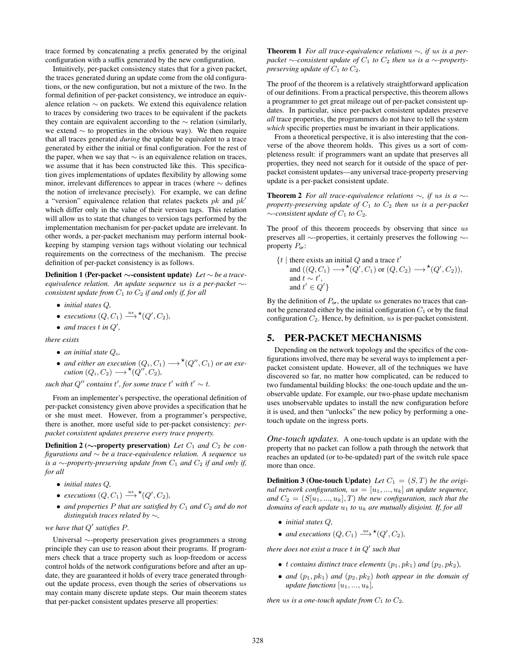trace formed by concatenating a prefix generated by the original configuration with a suffix generated by the new configuration.

Intuitively, per-packet consistency states that for a given packet, the traces generated during an update come from the old configurations, or the new configuration, but not a mixture of the two. In the formal definition of per-packet consistency, we introduce an equivalence relation ∼ on packets. We extend this equivalence relation to traces by considering two traces to be equivalent if the packets they contain are equivalent according to the  $\sim$  relation (similarly, we extend  $\sim$  to properties in the obvious way). We then require that all traces generated *during* the update be equivalent to a trace generated by either the initial or final configuration. For the rest of the paper, when we say that ∼ is an equivalence relation on traces, we assume that it has been constructed like this. This specification gives implementations of updates flexibility by allowing some minor, irrelevant differences to appear in traces (where ∼ defines the notion of irrelevance precisely). For example, we can define a "version" equivalence relation that relates packets  $pk$  and  $pk'$ which differ only in the value of their version tags. This relation will allow us to state that changes to version tags performed by the implementation mechanism for per-packet update are irrelevant. In other words, a per-packet mechanism may perform internal bookkeeping by stamping version tags without violating our technical requirements on the correctness of the mechanism. The precise definition of per-packet consistency is as follows.

Definition 1 (Per-packet ∼-consistent update) *Let* ∼ *be a traceequivalence relation. An update sequence* us *is a per-packet* ∼ *consistent update from*  $C_1$  *to*  $C_2$  *if and only if, for all* 

• *initial states* Q*,*

- *executions*  $(Q, C_1) \xrightarrow{us} {\star} (Q', C_2)$ ,
- *and traces*  $t$  *in*  $Q'$ *,*

*there exists*

- *an initial state*  $Q_i$ ,
- *and either an execution*  $(Q_i, C_1) \longrightarrow^{\star}(Q'', C_1)$  *or an exe-* $\alpha$  cution  $(Q_i, C_2) \longrightarrow^{\star}(Q'', C_2)$ ,

*such that*  $Q''$  *contains*  $t'$ *, for some trace*  $t'$  *with*  $t' \sim t$ *.* 

From an implementer's perspective, the operational definition of per-packet consistency given above provides a specification that he or she must meet. However, from a programmer's perspective, there is another, more useful side to per-packet consistency: *perpacket consistent updates preserve every trace property.*

**Definition 2** ( $\sim$ -property preservation) *Let*  $C_1$  *and*  $C_2$  *be configurations and* ∼ *be a trace-equivalence relation. A sequence* us *is a* ∼*-property-preserving update from*  $C_1$  *and*  $C_2$  *if and only if, for all*

- *initial states* Q*,*
- *executions*  $(Q, C_1) \xrightarrow{us} {\star} (Q', C_2)$ ,
- *and properties*  $P$  *that are satisfied by*  $C_1$  *and*  $C_2$  *and do not distinguish traces related by* ∼*,*

*we have that*  $Q'$  *satisfies*  $P$ *.* 

Universal ∼-property preservation gives programmers a strong principle they can use to reason about their programs. If programmers check that a trace property such as loop-freedom or access control holds of the network configurations before and after an update, they are guaranteed it holds of every trace generated throughout the update process, even though the series of observations us may contain many discrete update steps. Our main theorem states that per-packet consistent updates preserve all properties:

Theorem 1 *For all trace-equivalence relations* ∼*, if* us *is a perpacket* ∼*-consistent update of*  $C_1$  *to*  $C_2$  *then us is a* ∼*-propertypreserving update of*  $C_1$  *to*  $C_2$ *.* 

The proof of the theorem is a relatively straightforward application of our definitions. From a practical perspective, this theorem allows a programmer to get great mileage out of per-packet consistent updates. In particular, since per-packet consistent updates preserve *all* trace properties, the programmers do not have to tell the system *which* specific properties must be invariant in their applications.

From a theoretical perspective, it is also interesting that the converse of the above theorem holds. This gives us a sort of completeness result: if programmers want an update that preserves all properties, they need not search for it outside of the space of perpacket consistent updates—any universal trace-property preserving update is a per-packet consistent update.

**Theorem 2** *For all trace-equivalence relations*  $\sim$ , *if us is a*  $\sim$ *property-preserving update of*  $C_1$  *to*  $C_2$  *then us is a per-packet* ∼*-consistent update of* C<sup>1</sup> *to* C2*.*

The proof of this theorem proceeds by observing that since us preserves all ∼-properties, it certainly preserves the following ∼ property  $P_{\text{or}}$ :

 $\{t \mid \text{there exists an initial } Q \text{ and a trace } t' \}$ and  $((Q, C_1) \longrightarrow {}^{\star}(Q', C_1)$  or  $(Q, C_2) \longrightarrow {}^{\star}(Q', C_2)),$ and  $t \sim t'$ , and  $t' \in Q'$ }

By the definition of  $P_{or}$ , the update us generates no traces that cannot be generated either by the initial configuration  $C_1$  or by the final configuration  $C_2$ . Hence, by definition, us is per-packet consistent.

# <span id="page-5-0"></span>5. PER-PACKET MECHANISMS

Depending on the network topology and the specifics of the configurations involved, there may be several ways to implement a perpacket consistent update. However, all of the techniques we have discovered so far, no matter how complicated, can be reduced to two fundamental building blocks: the one-touch update and the unobservable update. For example, our two-phase update mechanism uses unobservable updates to install the new configuration before it is used, and then "unlocks" the new policy by performing a onetouch update on the ingress ports.

*One-touch updates.* A one-touch update is an update with the property that no packet can follow a path through the network that reaches an updated (or to-be-updated) part of the switch rule space more than once.

**Definition 3 (One-touch Update)** Let  $C_1 = (S, T)$  be the origi*nal network configuration,*  $us = [u_1, ..., u_k]$  *an update sequence, and*  $C_2 = (S[u_1, ..., u_k], T)$  *the new configuration, such that the domains of each update*  $u_1$  *to*  $u_k$  *are mutually disjoint. If, for all* 

- *initial states* Q*,*
- *and executions*  $(Q, C_1) \xrightarrow{us} {}^{\star}(Q', C_2)$ *,*

*there does not exist a trace* t *in* Q 0 *such that*

- *t contains distinct trace elements*  $(p_1, pk_1)$  *and*  $(p_2, pk_2)$ *,*
- *and*  $(p_1, pk_1)$  *and*  $(p_2, pk_2)$  *both appear in the domain of update functions*  $[u_1, ..., u_k]$ *,*

*then* us *is a one-touch update from*  $C_1$  *to*  $C_2$ *.*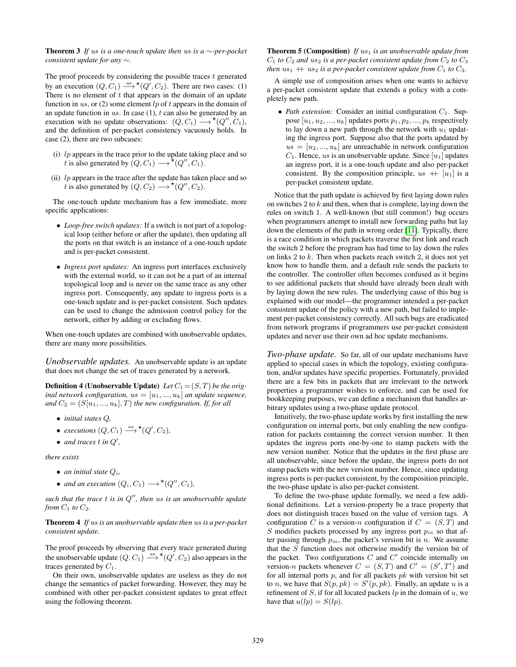Theorem 3 *If* us *is a one-touch update then* us *is a* ∼*-per-packet consistent update for any* ∼*.*

The proof proceeds by considering the possible traces  $t$  generated by an execution  $(Q, C_1) \stackrel{us}{\longrightarrow} {}^{\star}(Q', C_2)$ . There are two cases: (1) There is no element of  $t$  that appears in the domain of an update function in  $us$ , or (2) some element lp of t appears in the domain of an update function in  $us$ . In case (1),  $t$  can also be generated by an execution with no update observations:  $(Q, C_1) \longrightarrow^{\star}(Q'', C_1)$ , and the definition of per-packet consistency vacuously holds. In case (2), there are two subcases:

- (i)  $lp$  appears in the trace prior to the update taking place and so t is also generated by  $(Q, C_1) \longrightarrow^{\star}(Q'', C_1)$ .
- (ii)  $lp$  appears in the trace after the update has taken place and so t is also generated by  $(Q, C_2) \longrightarrow^{\star}(Q'', C_2)$ .

The one-touch update mechanism has a few immediate, more specific applications:

- *Loop-free switch updates:* If a switch is not part of a topological loop (either before or after the update), then updating all the ports on that switch is an instance of a one-touch update and is per-packet consistent.
- *Ingress port updates:* An ingress port interfaces exclusively with the external world, so it can not be a part of an internal topological loop and is never on the same trace as any other ingress port. Consequently, any update to ingress ports is a one-touch update and is per-packet consistent. Such updates can be used to change the admission control policy for the network, either by adding or excluding flows.

When one-touch updates are combined with unobservable updates, there are many more possibilities.

*Unobservable updates.* An unobservable update is an update that does not change the set of traces generated by a network.

**Definition 4 (Unobservable Update)** *Let*  $C_1 = (S, T)$  *be the original network configuration,*  $us = [u_1, ..., u_k]$  *an update sequence, and*  $C_2 = (S[u_1, ..., u_k], T)$  *the new configuration. If, for all* 

- *initial states* Q*,*
- *executions*  $(Q, C_1) \xrightarrow{us} {\star} (Q', C_2)$ ,
- *and traces*  $t$  *in*  $Q'$ *,*

*there exists*

- *an initial state*  $Q_i$ ,
- *and an execution*  $(Q_i, C_1) \longrightarrow^{\star}(Q'', C_1)$ *,*

*such that the trace* t *is in* Q <sup>00</sup>*, then* us *is an unobservable update from*  $C_1$  *to*  $C_2$ *.* 

Theorem 4 *If* us *is an unobservable update then* us *is a per-packet consistent update.*

The proof proceeds by observing that every trace generated during the unobservable update  $(Q, C_1) \stackrel{us}{\longrightarrow} {}^{\star}(Q', C_2)$  also appears in the traces generated by  $C_1$ .

On their own, unobservable updates are useless as they do not change the semantics of packet forwarding. However, they may be combined with other per-packet consistent updates to great effect using the following theorem.

**Theorem 5 (Composition)** *If* us<sub>1</sub> *is an unobservable update from*  $C_1$  *to*  $C_2$  *and*  $us_2$  *is a per-packet consistent update from*  $C_2$  *to*  $C_3$ *then*  $us_1 + us_2$  *is a per-packet consistent update from*  $C_1$  *to*  $C_3$ *.* 

A simple use of composition arises when one wants to achieve a per-packet consistent update that extends a policy with a completely new path.

• *Path extension:* Consider an initial configuration  $C_1$ . Suppose  $[u_1, u_2, ..., u_k]$  updates ports  $p_1, p_2, ..., p_k$  respectively to lay down a new path through the network with  $u_1$  updating the ingress port. Suppose also that the ports updated by  $us = [u_2, ..., u_k]$  are unreachable in network configuration  $C_1$ . Hence, us is an unobservable update. Since  $[u_1]$  updates an ingress port, it is a one-touch update and also per-packet consistent. By the composition principle,  $us + [u_1]$  is a per-packet consistent update.

Notice that the path update is achieved by first laying down rules on switches 2 to  $k$  and then, when that is complete, laying down the rules on switch 1. A well-known (but still common!) bug occurs when programmers attempt to install new forwarding paths but lay down the elements of the path in wrong order [\[11\]](#page-11-10). Typically, there is a race condition in which packets traverse the first link and reach the switch 2 before the program has had time to lay down the rules on links 2 to k. Then when packets reach switch 2, it does not yet know how to handle them, and a default rule sends the packets to the controller. The controller often becomes confused as it begins to see additional packets that should have already been dealt with by laying down the new rules. The underlying cause of this bug is explained with our model—the programmer intended a per-packet consistent update of the policy with a new path, but failed to implement per-packet consistency correctly. All such bugs are eradicated from network programs if programmers use per-packet consistent updates and never use their own ad hoc update mechanisms.

<span id="page-6-0"></span>*Two-phase update.* So far, all of our update mechanisms have applied to special cases in which the topology, existing configuration, and/or updates have specific properties. Fortunately, provided there are a few bits in packets that are irrelevant to the network properties a programmer wishes to enforce, and can be used for bookkeeping purposes, we can define a mechanism that handles arbitrary updates using a two-phase update protocol.

Intuitively, the two-phase update works by first installing the new configuration on internal ports, but only enabling the new configuration for packets containing the correct version number. It then updates the ingress ports one-by-one to stamp packets with the new version number. Notice that the updates in the first phase are all unobservable, since before the update, the ingress ports do not stamp packets with the new version number. Hence, since updating ingress ports is per-packet consistent, by the composition principle, the two-phase update is also per-packet consistent.

To define the two-phase update formally, we need a few additional definitions. Let a version-property be a trace property that does not distinguish traces based on the value of version tags. A configuration C is a version-n configuration if  $C = (S, T)$  and S modifies packets processed by any ingress port  $p_{in}$  so that after passing through  $p_{in}$ , the packet's version bit is n. We assume that the S function does not otherwise modify the version bit of the packet. Two configurations  $C$  and  $C'$  coincide internally on version-n packets whenever  $C = (S, T)$  and  $C' = (S', T')$  and for all internal ports  $p$ , and for all packets  $pk$  with version bit set to *n*, we have that  $S(p, pk) = S'(p, pk)$ . Finally, an update *u* is a refinement of  $S$ , if for all located packets  $lp$  in the domain of  $u$ , we have that  $u(lp) = S(lp)$ .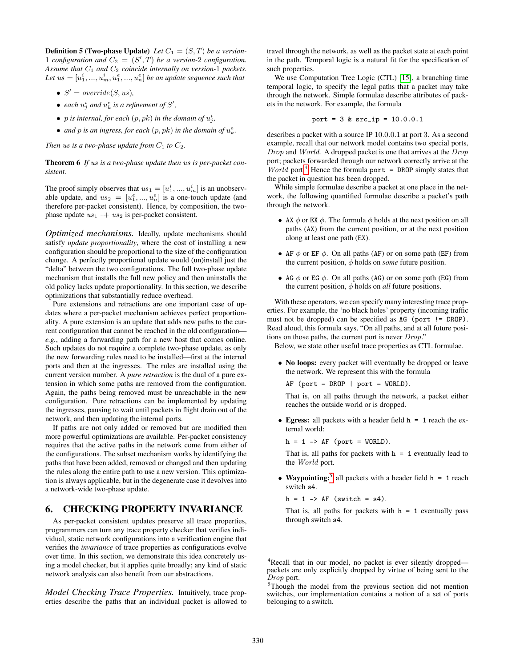**Definition 5 (Two-phase Update)** Let  $C_1 = (S, T)$  be a version-1 *configuration and*  $C_2 = (S', T)$  *be a version-2 configuration.* Assume that  $C_1$  and  $C_2$  *coincide internally on version-1 packets.* Let  $us = [u_1^i, ..., u_m^i, u_1^e, ..., u_n^e]$  be an update sequence such that

- $S' = \text{override}(S, us)$ ,
- each  $u_j^i$  and  $u_k^e$  is a refinement of S',
- p is internal, for each  $(p, pk)$  in the domain of  $u<sub>j</sub><sup>i</sup>$ ,
- and p is an ingress, for each  $(p, pk)$  in the domain of  $u_k^e$ .

*Then* us is a two-phase update from  $C_1$  to  $C_2$ .

Theorem 6 *If* us *is a two-phase update then* us *is per-packet consistent.*

The proof simply observes that  $us_1 = [u_1^i, ..., u_m^i]$  is an unobservable update, and  $us_2 = [u_1^e, ..., u_n^e]$  is a one-touch update (and therefore per-packet consistent). Hence, by composition, the twophase update  $us_1 + us_2$  is per-packet consistent.

*Optimized mechanisms.* Ideally, update mechanisms should satisfy *update proportionality*, where the cost of installing a new configuration should be proportional to the size of the configuration change. A perfectly proportional update would (un)install just the "delta" between the two configurations. The full two-phase update mechanism that installs the full new policy and then uninstalls the old policy lacks update proportionality. In this section, we describe optimizations that substantially reduce overhead.

Pure extensions and retractions are one important case of updates where a per-packet mechanism achieves perfect proportionality. A pure extension is an update that adds new paths to the current configuration that cannot be reached in the old configuration *e.g.*, adding a forwarding path for a new host that comes online. Such updates do not require a complete two-phase update, as only the new forwarding rules need to be installed—first at the internal ports and then at the ingresses. The rules are installed using the current version number. A *pure retraction* is the dual of a pure extension in which some paths are removed from the configuration. Again, the paths being removed must be unreachable in the new configuration. Pure retractions can be implemented by updating the ingresses, pausing to wait until packets in flight drain out of the network, and then updating the internal ports.

If paths are not only added or removed but are modified then more powerful optimizations are available. Per-packet consistency requires that the active paths in the network come from either of the configurations. The subset mechanism works by identifying the paths that have been added, removed or changed and then updating the rules along the entire path to use a new version. This optimization is always applicable, but in the degenerate case it devolves into a network-wide two-phase update.

# <span id="page-7-0"></span>6. CHECKING PROPERTY INVARIANCE

As per-packet consistent updates preserve all trace properties, programmers can turn any trace property checker that verifies individual, static network configurations into a verification engine that verifies the *invariance* of trace properties as configurations evolve over time. In this section, we demonstrate this idea concretely using a model checker, but it applies quite broadly; any kind of static network analysis can also benefit from our abstractions.

*Model Checking Trace Properties.* Intuitively, trace properties describe the paths that an individual packet is allowed to travel through the network, as well as the packet state at each point in the path. Temporal logic is a natural fit for the specification of such properties.

We use Computation Tree Logic (CTL) [\[15\]](#page-11-14), a branching time temporal logic, to specify the legal paths that a packet may take through the network. Simple formulae describe attributes of packets in the network. For example, the formula

$$
port = 3 & src_ip = 10.0.0.1
$$

describes a packet with a source IP 10.0.0.1 at port 3. As a second example, recall that our network model contains two special ports, Drop and World. A dropped packet is one that arrives at the Drop port; packets forwarded through our network correctly arrive at the *World* port.<sup>[4](#page-7-1)</sup> Hence the formula port = DROP simply states that the packet in question has been dropped.

While simple formulae describe a packet at one place in the network, the following quantified formulae describe a packet's path through the network.

- AX  $\phi$  or EX  $\phi$ . The formula  $\phi$  holds at the next position on all paths (AX) from the current position, or at the next position along at least one path (EX).
- AF  $\phi$  or EF  $\phi$ . On all paths (AF) or on some path (EF) from the current position,  $\phi$  holds on *some* future position.
- AG  $\phi$  or EG  $\phi$ . On all paths (AG) or on some path (EG) from the current position,  $\phi$  holds on *all* future positions.

With these operators, we can specify many interesting trace properties. For example, the 'no black holes' property (incoming traffic must not be dropped) can be specified as AG (port != DROP). Read aloud, this formula says, "On all paths, and at all future positions on those paths, the current port is never Drop."

Below, we state other useful trace properties as CTL formulae.

• No loops: every packet will eventually be dropped or leave the network. We represent this with the formula

AF (port = DROP | port = WORLD).

That is, on all paths through the network, a packet either reaches the outside world or is dropped.

• Egress: all packets with a header field  $h = 1$  reach the external world:

 $h = 1$  -> AF (port = WORLD).

That is, all paths for packets with  $h = 1$  eventually lead to the World port.

• Waypointing:<sup>[5](#page-7-2)</sup> all packets with a header field  $h = 1$  reach switch s4.

 $h = 1$  -> AF (switch = s4).

That is, all paths for packets with  $h = 1$  eventually pass through switch s4.

<span id="page-7-1"></span><sup>&</sup>lt;sup>4</sup>Recall that in our model, no packet is ever silently dropped packets are only explicitly dropped by virtue of being sent to the Drop port.

<span id="page-7-2"></span><sup>&</sup>lt;sup>5</sup>Though the model from the previous section did not mention switches, our implementation contains a notion of a set of ports belonging to a switch.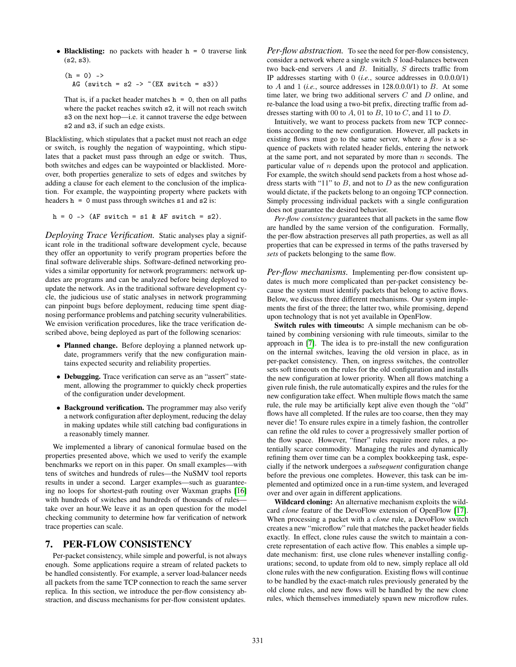• Blacklisting: no packets with header h = 0 traverse link (s2, s3).

```
(h = 0) ->
AG (switch = s2 \rightarrow ~(EX switch = s3))
```
That is, if a packet header matches  $h = 0$ , then on all paths where the packet reaches switch s2, it will not reach switch s3 on the next hop—i.e. it cannot traverse the edge between s2 and s3, if such an edge exists.

Blacklisting, which stipulates that a packet must not reach an edge or switch, is roughly the negation of waypointing, which stipulates that a packet must pass through an edge or switch. Thus, both switches and edges can be waypointed or blacklisted. Moreover, both properties generalize to sets of edges and switches by adding a clause for each element to the conclusion of the implication. For example, the waypointing property where packets with headers  $h = 0$  must pass through switches  $s1$  and  $s2$  is:

 $h = 0 \rightarrow (AF \text{ switch} = s1 \& AF \text{ switch} = s2).$ 

*Deploying Trace Verification.* Static analyses play a significant role in the traditional software development cycle, because they offer an opportunity to verify program properties before the final software deliverable ships. Software-defined networking provides a similar opportunity for network programmers: network updates are programs and can be analyzed before being deployed to update the network. As in the traditional software development cycle, the judicious use of static analyses in network programming can pinpoint bugs before deployment, reducing time spent diagnosing performance problems and patching security vulnerabilities. We envision verification procedures, like the trace verification described above, being deployed as part of the following scenarios:

- Planned change. Before deploying a planned network update, programmers verify that the new configuration maintains expected security and reliability properties.
- Debugging. Trace verification can serve as an "assert" statement, allowing the programmer to quickly check properties of the configuration under development.
- Background verification. The programmer may also verify a network configuration after deployment, reducing the delay in making updates while still catching bad configurations in a reasonably timely manner.

We implemented a library of canonical formulae based on the properties presented above, which we used to verify the example benchmarks we report on in this paper. On small examples—with tens of switches and hundreds of rules—the NuSMV tool reports results in under a second. Larger examples—such as guaranteeing no loops for shortest-path routing over Waxman graphs [\[16\]](#page-11-15) with hundreds of switches and hundreds of thousands of rules take over an hour.We leave it as an open question for the model checking community to determine how far verification of network trace properties can scale.

# <span id="page-8-0"></span>7. PER-FLOW CONSISTENCY

Per-packet consistency, while simple and powerful, is not always enough. Some applications require a stream of related packets to be handled consistently. For example, a server load-balancer needs all packets from the same TCP connection to reach the same server replica. In this section, we introduce the per-flow consistency abstraction, and discuss mechanisms for per-flow consistent updates.

*Per-flow abstraction.* To see the need for per-flow consistency, consider a network where a single switch S load-balances between two back-end servers A and B. Initially, S directs traffic from IP addresses starting with 0 (*i.e.*, source addresses in 0.0.0.0/1) to  $A$  and  $1$  (*i.e.*, source addresses in  $128.0.0.0/1$ ) to  $B$ . At some time later, we bring two additional servers  $C$  and  $D$  online, and re-balance the load using a two-bit prefix, directing traffic from addresses starting with 00 to  $A$ , 01 to  $B$ , 10 to  $C$ , and 11 to  $D$ .

Intuitively, we want to process packets from new TCP connections according to the new configuration. However, all packets in existing flows must go to the same server, where a *flow* is a sequence of packets with related header fields, entering the network at the same port, and not separated by more than  $n$  seconds. The particular value of  $n$  depends upon the protocol and application. For example, the switch should send packets from a host whose address starts with "11" to  $B$ , and not to  $D$  as the new configuration would dictate, if the packets belong to an ongoing TCP connection. Simply processing individual packets with a single configuration does not guarantee the desired behavior.

*Per-flow consistency* guarantees that all packets in the same flow are handled by the same version of the configuration. Formally, the per-flow abstraction preserves all path properties, as well as all properties that can be expressed in terms of the paths traversed by *sets* of packets belonging to the same flow.

*Per-flow mechanisms.* Implementing per-flow consistent updates is much more complicated than per-packet consistency because the system must identify packets that belong to active flows. Below, we discuss three different mechanisms. Our system implements the first of the three; the latter two, while promising, depend upon technology that is not yet available in OpenFlow.

Switch rules with timeouts: A simple mechanism can be obtained by combining versioning with rule timeouts, similar to the approach in [\[7\]](#page-11-9). The idea is to pre-install the new configuration on the internal switches, leaving the old version in place, as in per-packet consistency. Then, on ingress switches, the controller sets soft timeouts on the rules for the old configuration and installs the new configuration at lower priority. When all flows matching a given rule finish, the rule automatically expires and the rules for the new configuration take effect. When multiple flows match the same rule, the rule may be artificially kept alive even though the "old" flows have all completed. If the rules are too coarse, then they may never die! To ensure rules expire in a timely fashion, the controller can refine the old rules to cover a progressively smaller portion of the flow space. However, "finer" rules require more rules, a potentially scarce commodity. Managing the rules and dynamically refining them over time can be a complex bookkeeping task, especially if the network undergoes a *subsequent* configuration change before the previous one completes. However, this task can be implemented and optimized once in a run-time system, and leveraged over and over again in different applications.

Wildcard cloning: An alternative mechanism exploits the wildcard *clone* feature of the DevoFlow extension of OpenFlow [\[17\]](#page-11-16). When processing a packet with a *clone* rule, a DevoFlow switch creates a new "microflow" rule that matches the packet header fields exactly. In effect, clone rules cause the switch to maintain a concrete representation of each active flow. This enables a simple update mechanism: first, use clone rules whenever installing configurations; second, to update from old to new, simply replace all old clone rules with the new configuration. Existing flows will continue to be handled by the exact-match rules previously generated by the old clone rules, and new flows will be handled by the new clone rules, which themselves immediately spawn new microflow rules.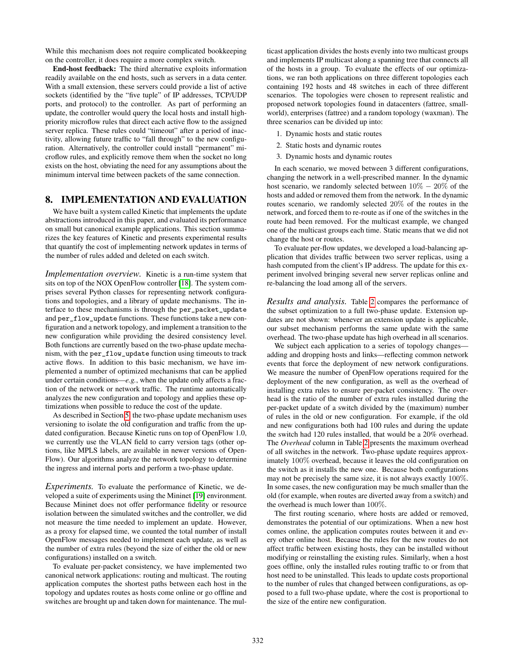While this mechanism does not require complicated bookkeeping on the controller, it does require a more complex switch.

End-host feedback: The third alternative exploits information readily available on the end hosts, such as servers in a data center. With a small extension, these servers could provide a list of active sockets (identified by the "five tuple" of IP addresses, TCP/UDP ports, and protocol) to the controller. As part of performing an update, the controller would query the local hosts and install highpriority microflow rules that direct each active flow to the assigned server replica. These rules could "timeout" after a period of inactivity, allowing future traffic to "fall through" to the new configuration. Alternatively, the controller could install "permanent" microflow rules, and explicitly remove them when the socket no long exists on the host, obviating the need for any assumptions about the minimum interval time between packets of the same connection.

# <span id="page-9-0"></span>8. IMPLEMENTATION AND EVALUATION

We have built a system called Kinetic that implements the update abstractions introduced in this paper, and evaluated its performance on small but canonical example applications. This section summarizes the key features of Kinetic and presents experimental results that quantify the cost of implementing network updates in terms of the number of rules added and deleted on each switch.

*Implementation overview.* Kinetic is a run-time system that sits on top of the NOX OpenFlow controller [\[18\]](#page-11-17). The system comprises several Python classes for representing network configurations and topologies, and a library of update mechanisms. The interface to these mechanisms is through the per\_packet\_update and per\_flow\_update functions. These functions take a new configuration and a network topology, and implement a transition to the new configuration while providing the desired consistency level. Both functions are currently based on the two-phase update mechanism, with the per\_flow\_update function using timeouts to track active flows. In addition to this basic mechanism, we have implemented a number of optimized mechanisms that can be applied under certain conditions—*e.g.*, when the update only affects a fraction of the network or network traffic. The runtime automatically analyzes the new configuration and topology and applies these optimizations when possible to reduce the cost of the update.

As described in Section [5,](#page-6-0) the two-phase update mechanism uses versioning to isolate the old configuration and traffic from the updated configuration. Because Kinetic runs on top of OpenFlow 1.0, we currently use the VLAN field to carry version tags (other options, like MPLS labels, are available in newer versions of Open-Flow). Our algorithms analyze the network topology to determine the ingress and internal ports and perform a two-phase update.

*Experiments*. To evaluate the performance of Kinetic, we developed a suite of experiments using the Mininet [\[19\]](#page-11-18) environment. Because Mininet does not offer performance fidelity or resource isolation between the simulated switches and the controller, we did not measure the time needed to implement an update. However, as a proxy for elapsed time, we counted the total number of install OpenFlow messages needed to implement each update, as well as the number of extra rules (beyond the size of either the old or new configurations) installed on a switch.

To evaluate per-packet consistency, we have implemented two canonical network applications: routing and multicast. The routing application computes the shortest paths between each host in the topology and updates routes as hosts come online or go offline and switches are brought up and taken down for maintenance. The multicast application divides the hosts evenly into two multicast groups and implements IP multicast along a spanning tree that connects all of the hosts in a group. To evaluate the effects of our optimizations, we ran both applications on three different topologies each containing 192 hosts and 48 switches in each of three different scenarios. The topologies were chosen to represent realistic and proposed network topologies found in datacenters (fattree, smallworld), enterprises (fattree) and a random topology (waxman). The three scenarios can be divided up into:

- 1. Dynamic hosts and static routes
- 2. Static hosts and dynamic routes
- 3. Dynamic hosts and dynamic routes

In each scenario, we moved between 3 different configurations, changing the network in a well-prescribed manner. In the dynamic host scenario, we randomly selected between 10% − 20% of the hosts and added or removed them from the network. In the dynamic routes scenario, we randomly selected 20% of the routes in the network, and forced them to re-route as if one of the switches in the route had been removed. For the multicast example, we changed one of the multicast groups each time. Static means that we did not change the host or routes.

To evaluate per-flow updates, we developed a load-balancing application that divides traffic between two server replicas, using a hash computed from the client's IP address. The update for this experiment involved bringing several new server replicas online and re-balancing the load among all of the servers.

*Results and analysis.* Table [2](#page-10-0) compares the performance of the subset optimization to a full two-phase update. Extension updates are not shown: whenever an extension update is applicable, our subset mechanism performs the same update with the same overhead. The two-phase update has high overhead in all scenarios.

We subject each application to a series of topology changes adding and dropping hosts and links—reflecting common network events that force the deployment of new network configurations. We measure the number of OpenFlow operations required for the deployment of the new configuration, as well as the overhead of installing extra rules to ensure per-packet consistency. The overhead is the ratio of the number of extra rules installed during the per-packet update of a switch divided by the (maximum) number of rules in the old or new configuration. For example, if the old and new configurations both had 100 rules and during the update the switch had 120 rules installed, that would be a 20% overhead. The *Overhead* column in Table [2](#page-10-0) presents the maximum overhead of all switches in the network. Two-phase update requires approximately 100% overhead, because it leaves the old configuration on the switch as it installs the new one. Because both configurations may not be precisely the same size, it is not always exactly 100%. In some cases, the new configuration may be much smaller than the old (for example, when routes are diverted away from a switch) and the overhead is much lower than 100%.

The first routing scenario, where hosts are added or removed, demonstrates the potential of our optimizations. When a new host comes online, the application computes routes between it and every other online host. Because the rules for the new routes do not affect traffic between existing hosts, they can be installed without modifying or reinstalling the existing rules. Similarly, when a host goes offline, only the installed rules routing traffic to or from that host need to be uninstalled. This leads to update costs proportional to the number of rules that changed between configurations, as opposed to a full two-phase update, where the cost is proportional to the size of the entire new configuration.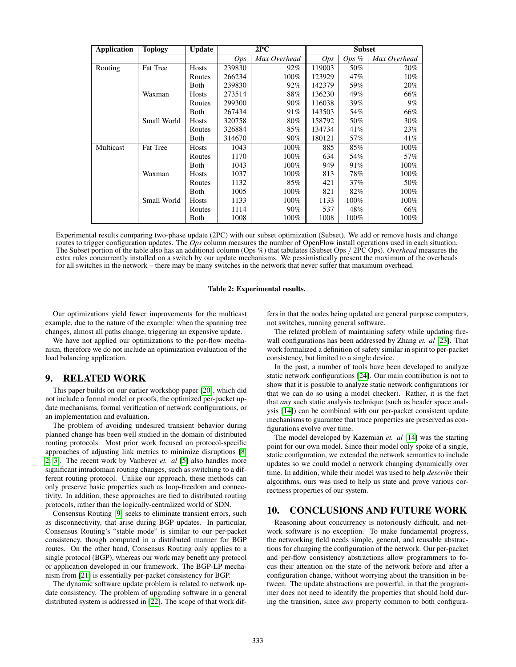| <b>Application</b> | <b>Toplogy</b> | <b>Update</b> | 2PC        |              | <b>Subset</b> |       |              |
|--------------------|----------------|---------------|------------|--------------|---------------|-------|--------------|
|                    |                |               | <i>Ops</i> | Max Overhead | <i>Ops</i>    | Ops % | Max Overhead |
| Routing            | Fat Tree       | <b>Hosts</b>  | 239830     | 92%          | 119003        | 50%   | 20%          |
|                    |                | Routes        | 266234     | 100%         | 123929        | 47%   | $10\%$       |
|                    |                | Both          | 239830     | 92%          | 142379        | 59%   | 20%          |
|                    | Waxman         | <b>Hosts</b>  | 273514     | 88%          | 136230        | 49%   | 66%          |
|                    |                | Routes        | 299300     | 90%          | 116038        | 39%   | 9%           |
|                    |                | Both          | 267434     | 91%          | 143503        | 54%   | 66%          |
|                    | Small World    | <b>Hosts</b>  | 320758     | $80\%$       | 158792        | 50%   | 30%          |
|                    |                | Routes        | 326884     | 85%          | 134734        | 41%   | 23%          |
|                    |                | Both          | 314670     | 90%          | 180121        | 57%   | 41%          |
| Multicast          | Fat Tree       | <b>Hosts</b>  | 1043       | 100%         | 885           | 85%   | $100\%$      |
|                    |                | Routes        | 1170       | 100%         | 634           | 54%   | 57%          |
|                    |                | Both          | 1043       | 100%         | 949           | 91%   | 100%         |
|                    | Waxman         | <b>Hosts</b>  | 1037       | 100%         | 813           | 78%   | 100%         |
|                    |                | Routes        | 1132       | 85%          | 421           | 37%   | 50%          |
|                    |                | <b>B</b> oth  | 1005       | 100%         | 821           | 82%   | 100%         |
|                    | Small World    | <b>Hosts</b>  | 1133       | 100%         | 1133          | 100%  | 100%         |
|                    |                | Routes        | 1114       | 90%          | 537           | 48%   | 66%          |
|                    |                | Both          | 1008       | 100%         | 1008          | 100%  | 100%         |

Experimental results comparing two-phase update (2PC) with our subset optimization (Subset). We add or remove hosts and change routes to trigger configuration updates. The *Ops* column measures the number of OpenFlow install operations used in each situation. The Subset portion of the table also has an additional column (Ops %) that tabulates (Subset Ops / 2PC Ops). *Overhead* measures the extra rules concurrently installed on a switch by our update mechanisms. We pessimistically present the maximum of the overheads for all switches in the network – there may be many switches in the network that never suffer that maximum overhead.

#### <span id="page-10-0"></span>Table 2: Experimental results.

Our optimizations yield fewer improvements for the multicast example, due to the nature of the example: when the spanning tree changes, almost all paths change, triggering an expensive update.

We have not applied our optimizations to the per-flow mechanism, therefore we do not include an optimization evaluation of the load balancing application.

#### 9. RELATED WORK

This paper builds on our earlier workshop paper [\[20\]](#page-11-19), which did not include a formal model or proofs, the optimized per-packet update mechanisms, formal verification of network configurations, or an implementation and evaluation.

The problem of avoiding undesired transient behavior during planned change has been well studied in the domain of distributed routing protocols. Most prior work focused on protocol-specific approaches of adjusting link metrics to minimize disruptions [\[8,](#page-11-0) [2,](#page-11-1) [3\]](#page-11-3). The recent work by Vanbever *et. al* [\[5\]](#page-11-4) also handles more significant intradomain routing changes, such as switching to a different routing protocol. Unlike our approach, these methods can only preserve basic properties such as loop-freedom and connectivity. In addition, these approaches are tied to distributed routing protocols, rather than the logically-centralized world of SDN.

Consensus Routing [\[9\]](#page-11-2) seeks to eliminate transient errors, such as disconnectivity, that arise during BGP updates. In particular, Consensus Routing's "stable mode" is similar to our per-packet consistency, though computed in a distributed manner for BGP routes. On the other hand, Consensus Routing only applies to a single protocol (BGP), whereas our work may benefit any protocol or application developed in our framework. The BGP-LP mechanism from [\[21\]](#page-11-20) is essentially per-packet consistency for BGP.

The dynamic software update problem is related to network update consistency. The problem of upgrading software in a general distributed system is addressed in [\[22\]](#page-11-21). The scope of that work differs in that the nodes being updated are general purpose computers, not switches, running general software.

The related problem of maintaining safety while updating firewall configurations has been addressed by Zhang *et. al* [\[23\]](#page-11-22). That work formalized a definition of safety similar in spirit to per-packet consistency, but limited to a single device.

In the past, a number of tools have been developed to analyze static network configurations [\[24\]](#page-11-23). Our main contribution is not to show that it is possible to analyze static network configurations (or that we can do so using a model checker). Rather, it is the fact that *any* such static analysis technique (such as header space analysis [\[14\]](#page-11-13)) can be combined with our per-packet consistent update mechanisms to guarantee that trace properties are preserved as configurations evolve over time.

The model developed by Kazemian *et. al* [\[14\]](#page-11-13) was the starting point for our own model. Since their model only spoke of a single, static configuration, we extended the network semantics to include updates so we could model a network changing dynamically over time. In addition, while their model was used to help *describe* their algorithms, ours was used to help us state and prove various correctness properties of our system.

# 10. CONCLUSIONS AND FUTURE WORK

Reasoning about concurrency is notoriously difficult, and network software is no exception. To make fundamental progress, the networking field needs simple, general, and reusable abstractions for changing the configuration of the network. Our per-packet and per-flow consistency abstractions allow programmers to focus their attention on the state of the network before and after a configuration change, without worrying about the transition in between. The update abstractions are powerful, in that the programmer does not need to identify the properties that should hold during the transition, since *any* property common to both configura